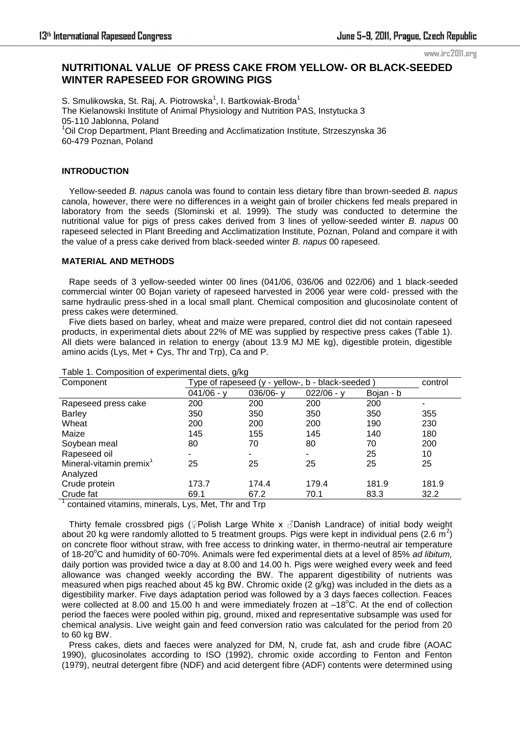www.irc2011.org

# **NUTRITIONAL VALUE OF PRESS CAKE FROM YELLOW- OR BLACK-SEEDED WINTER RAPESEED FOR GROWING PIGS**

S. Smulikowska, St. Raj, A. Piotrowska<sup>1</sup>, I. Bartkowiak-Broda<sup>1</sup> The Kielanowski Institute of Animal Physiology and Nutrition PAS, Instytucka 3 05-110 Jablonna, Poland <sup>1</sup>Oil Crop Department, Plant Breeding and Acclimatization Institute, Strzeszynska 36 60-479 Poznan, Poland

# **INTRODUCTION**

 Yellow-seeded *B. napus* canola was found to contain less dietary fibre than brown-seeded *B. napus* canola, however, there were no differences in a weight gain of broiler chickens fed meals prepared in laboratory from the seeds (Slominski et al. 1999). The study was conducted to determine the nutritional value for pigs of press cakes derived from 3 lines of yellow-seeded winter *B. napus* 00 rapeseed selected in Plant Breeding and Acclimatization Institute, Poznan, Poland and compare it with the value of a press cake derived from black-seeded winter *B. napus* 00 rapeseed.

### **MATERIAL AND METHODS**

 Rape seeds of 3 yellow-seeded winter 00 lines (041/06, 036/06 and 022/06) and 1 black-seeded commercial winter 00 Bojan variety of rapeseed harvested in 2006 year were cold- pressed with the same hydraulic press-shed in a local small plant. Chemical composition and glucosinolate content of press cakes were determined.

 Five diets based on barley, wheat and maize were prepared, control diet did not contain rapeseed products, in experimental diets about 22% of ME was supplied by respective press cakes (Table 1). All diets were balanced in relation to energy (about 13.9 MJ ME kg), digestible protein, digestible amino acids (Lys, Met + Cys, Thr and Trp), Ca and P.

| Component                           | ອ ອ<br>Type of rapeseed (y - yellow-, b - black-seeded | control        |                |           |       |
|-------------------------------------|--------------------------------------------------------|----------------|----------------|-----------|-------|
|                                     | $041/06 - y$                                           | 036/06-y       | $022/06 - y$   | Bojan - b |       |
| Rapeseed press cake                 | 200                                                    | 200            | 200            | 200       |       |
| <b>Barley</b>                       | 350                                                    | 350            | 350            | 350       | 355   |
| Wheat                               | 200                                                    | 200            | 200            | 190       | 230   |
| Maize                               | 145                                                    | 155            | 145            | 140       | 180   |
| Soybean meal                        | 80                                                     | 70             | 80             | 70        | 200   |
| Rapeseed oil                        |                                                        | $\blacksquare$ | $\blacksquare$ | 25        | 10    |
| Mineral-vitamin premix <sup>1</sup> | 25                                                     | 25             | 25             | 25        | 25    |
| Analyzed                            |                                                        |                |                |           |       |
| Crude protein                       | 173.7                                                  | 174.4          | 179.4          | 181.9     | 181.9 |
| Crude fat                           | 69.1                                                   | 67.2           | 70.1           | 83.3      | 32.2  |

#### Table 1. Composition of experimental diets, g/kg

<sup>1</sup> contained vitamins, minerals, Lys, Met, Thr and Trp

 Thirty female crossbred pigs (♀Polish Large White x ♂Danish Landrace) of initial body weight about 20 kg were randomly allotted to 5 treatment groups. Pigs were kept in individual pens (2.6  $\overline{m}^2$ ) on concrete floor without straw, with free access to drinking water, in thermo-neutral air temperature of 18-20°C and humidity of 60-70%. Animals were fed experimental diets at a level of 85% *ad libitum*, daily portion was provided twice a day at 8.00 and 14.00 h. Pigs were weighed every week and feed allowance was changed weekly according the BW. The apparent digestibility of nutrients was measured when pigs reached about 45 kg BW. Chromic oxide (2 g/kg) was included in the diets as a digestibility marker. Five days adaptation period was followed by a 3 days faeces collection. Feaces were collected at 8.00 and 15.00 h and were immediately frozen at  $-18^{\circ}$ C. At the end of collection period the faeces were pooled within pig, ground, mixed and representative subsample was used for chemical analysis. Live weight gain and feed conversion ratio was calculated for the period from 20 to 60 kg BW.

 Press cakes, diets and faeces were analyzed for DM, N, crude fat, ash and crude fibre (AOAC 1990), glucosinolates according to ISO (1992), chromic oxide according to Fenton and Fenton (1979), neutral detergent fibre (NDF) and acid detergent fibre (ADF) contents were determined using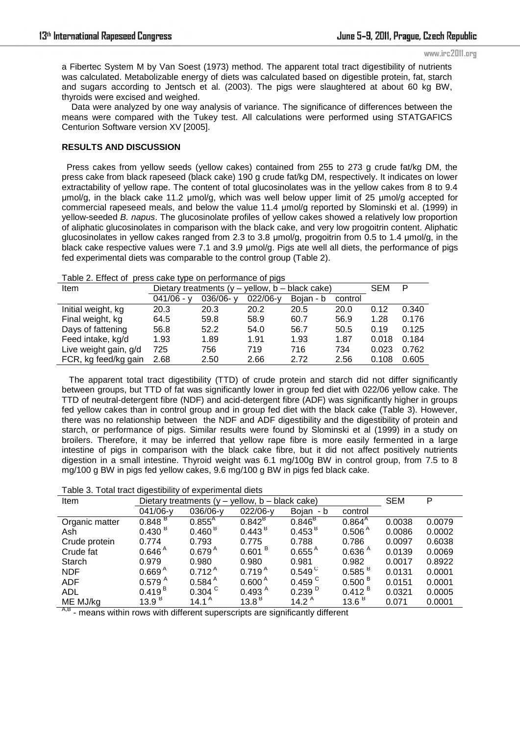#### www.irc2011.org

a Fibertec System M by Van Soest (1973) method. The apparent total tract digestibility of nutrients was calculated. Metabolizable energy of diets was calculated based on digestible protein, fat, starch and sugars according to Jentsch et al. (2003). The pigs were slaughtered at about 60 kg BW, thyroids were excised and weighed.

 Data were analyzed by one way analysis of variance. The significance of differences between the means were compared with the Tukey test. All calculations were performed using STATGAFICS Centurion Software version XV [2005].

### **RESULTS AND DISCUSSION**

 Press cakes from yellow seeds (yellow cakes) contained from 255 to 273 g crude fat/kg DM, the press cake from black rapeseed (black cake) 190 g crude fat/kg DM, respectively. It indicates on lower extractability of yellow rape. The content of total glucosinolates was in the yellow cakes from 8 to 9.4 μmol/g, in the black cake 11.2 μmol/g, which was well below upper limit of 25 μmol/g accepted for commercial rapeseed meals, and below the value 11.4 μmol/g reported by Slominski et al. (1999) in yellow-seeded *B. napus*. The glucosinolate profiles of yellow cakes showed a relatively low proportion of aliphatic glucosinolates in comparison with the black cake, and very low progoitrin content. Aliphatic glucosinolates in yellow cakes ranged from 2.3 to 3.8 μmol/g, progoitrin from 0.5 to 1.4 μmol/g, in the black cake respective values were 7.1 and 3.9 μmol/g. Pigs ate well all diets, the performance of pigs fed experimental diets was comparable to the control group (Table 2).

| <b>Example:</b> Envoy or proceed cancelinge on portormance or pigo |                                                    |              |            |           |         |       |       |
|--------------------------------------------------------------------|----------------------------------------------------|--------------|------------|-----------|---------|-------|-------|
| Item                                                               | Dietary treatments $(y - y$ ellow, b – black cake) |              |            |           |         | SEM   | P     |
|                                                                    | $041/06 - v$                                       | $036/06 - v$ | $022/06-v$ | Boian - b | control |       |       |
| Initial weight, kg                                                 | 20.3                                               | 20.3         | 20.2       | 20.5      | 20.0    | 0.12  | 0.340 |
| Final weight, kg                                                   | 64.5                                               | 59.8         | 58.9       | 60.7      | 56.9    | 1.28  | 0.176 |
| Days of fattening                                                  | 56.8                                               | 52.2         | 54.0       | 56.7      | 50.5    | 0.19  | 0.125 |
| Feed intake, kg/d                                                  | 1.93                                               | 1.89         | 1.91       | 1.93      | 1.87    | 0.018 | 0.184 |
| Live weight gain, g/d                                              | 725                                                | 756          | 719        | 716       | 734     | 0.023 | 0.762 |

FCR, kg feed/kg gain 2.68 2.50 2.66 2.72 2.56 0.108 0.605

Table 2. Effect of press cake type on performance of pigs

 The apparent total tract digestibility (TTD) of crude protein and starch did not differ significantly between groups, but TTD of fat was significantly lower in group fed diet with 022/06 yellow cake. The TTD of neutral-detergent fibre (NDF) and acid-detergent fibre (ADF) was significantly higher in groups fed yellow cakes than in control group and in group fed diet with the black cake (Table 3). However, there was no relationship between the NDF and ADF digestibility and the digestibility of protein and starch, or performance of pigs. Similar results were found by Slominski et al (1999) in a study on broilers. Therefore, it may be inferred that yellow rape fibre is more easily fermented in a large intestine of pigs in comparison with the black cake fibre, but it did not affect positively nutrients digestion in a small intestine. Thyroid weight was 6.1 mg/100g BW in control group, from 7.5 to 8 mg/100 g BW in pigs fed yellow cakes, 9.6 mg/100 g BW in pigs fed black cake.

| Table 3. Total tract digestibility of experimental diets |  |  |  |  |  |  |
|----------------------------------------------------------|--|--|--|--|--|--|
|----------------------------------------------------------|--|--|--|--|--|--|

| Item           | $yellow, b - black cake)$<br>Dietary treatments $(y -$ |                      |                    |                      |                       | <b>SEM</b> | P      |
|----------------|--------------------------------------------------------|----------------------|--------------------|----------------------|-----------------------|------------|--------|
|                | 041/06-y                                               | 036/06-y             | 022/06-y           | Bojan - b            | control               |            |        |
| Organic matter | 0.848 <sup>B</sup>                                     | $0.855^{A}$          | $0.842^{\text{B}}$ | $0.846^{B}$          | $0.864^{A}$           | 0.0038     | 0.0079 |
| Ash            | 0.430 <sup>B</sup>                                     | 0.460 <sup>B</sup>   | 0.443 <sup>B</sup> | 0.453 <sup>B</sup>   | 0.506 <sup>A</sup>    | 0.0086     | 0.0002 |
| Crude protein  | 0.774                                                  | 0.793                | 0.775              | 0.788                | 0.786                 | 0.0097     | 0.6038 |
| Crude fat      | $0.646^{\text{A}}$                                     | $0.679^{\text{A}}$   | 0.601 <sup>B</sup> | $0.655^{\text{A}}$   | 0.636 <sup>A</sup>    | 0.0139     | 0.0069 |
| Starch         | 0.979                                                  | 0.980                | 0.980              | 0.981                | 0.982                 | 0.0017     | 0.8922 |
| <b>NDF</b>     | 0.669 <sup>A</sup>                                     | $0.712^{A}$          | 0.719 <sup>A</sup> | $0.549^{\circ}$      | $0.585$ $\mathrm{^B}$ | 0.0131     | 0.0001 |
| <b>ADF</b>     | 0.579 <sup>A</sup>                                     | $0.584$ $^{\circ}$   | 0.600 <sup>A</sup> | $0.459$ <sup>C</sup> | $0.500$ $^{\circ}$    | 0.0151     | 0.0001 |
| <b>ADL</b>     | 0.419 <sup>B</sup>                                     | $0.304$ <sup>C</sup> | 0.493 <sup>A</sup> | 0.239 <sup>D</sup>   | $0.412$ <sup>B</sup>  | 0.0321     | 0.0005 |
| ME MJ/kg       | 13.9 <sup>B</sup>                                      | 14.1 <sup>A</sup>    | $13.8^{\,B}$       | 14.2 $A$             | 13.6 $B$              | 0.071      | 0.0001 |

 $A$ ,  $B$  - means within rows with different superscripts are significantly different